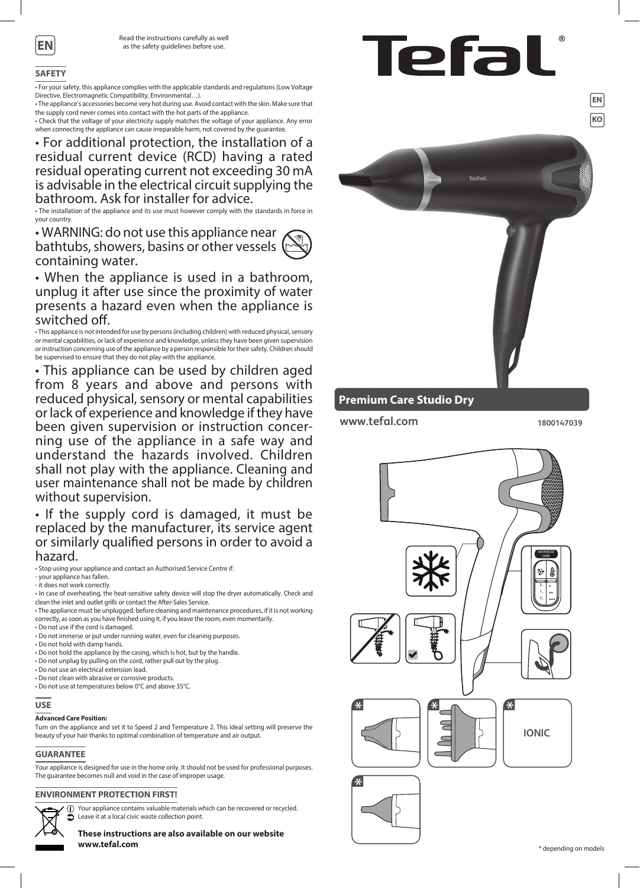

Read the instructions carefully as well as the safety quidelines before use.

### **SAFETY**

• For your safety, this appliance complies with the applicable standards and regulations (Low Voltage Directive, Electromagnetic Compatibility, Environmental…).

• The appliance's accessories become very hot during use. Avoid contact with the skin. Make sure that the supply cord never comes into contact with the hot parts of the appliance.

• Check that the voltage of your electricity supply matches the voltage of your appliance. Any error when connecting the appliance can cause irreparable harm, not covered by the guarantee.

# • For additional protection, the installation of a residual current device (RCD) having a rated residual operating current not exceeding 30 mA is advisable in the electrical circuit supplying the bathroom. Ask for installer for advice.

• The installation of the appliance and its use must however comply with the standards in force in your country.

• WARNING: do not use this appliance near bathtubs, showers, basins or other vessels ( containing water.



• When the appliance is used in a bathroom, unplug it after use since the proximity of water presents a hazard even when the appliance is switched off.

• This appliance is not intended for use by persons (including children) with reduced physical, sensory or mental capabilities, or lack of experience and knowledge, unless they have been given supervision or instruction concerning use of the appliance by a person responsible for their safety. Children should be supervised to ensure that they do not play with the appliance.

• This appliance can be used by children aged from 8 years and above and persons with reduced physical, sensory or mental capabilities or lack of experience and knowledge if they have been given supervision or instruction concer- ning use of the appliance in a safe way and understand the hazards involved. Children shall not play with the appliance. Cleaning and user maintenance shall not be made by children without supervision.

• If the supply cord is damaged, it must be replaced by the manufacturer, its service agent or similarly qualified persons in order to avoid a hazard.

• Stop using your appliance and contact an Authorised Service Centre if:

- your appliance has fallen.

- it does not work correctly.
- In case of overheating, the heat-sensitive safety device will stop the dryer automatically. Check and clean the inlet and outlet grills or contact the After-Sales Service.
- The appliance must be unplugged: before cleaning and maintenance procedures, if it is not working correctly, as soon as you have finished using it, if you leave the room, even momentarily.
- Do not use if the cord is damaged.
- Do not immerse or put under running water, even for cleaning purposes.
- Do not hold with damp hands.
- Do not hold the appliance by the casing, which is hot, but by the handle.
- Do not unplug by pulling on the cord, rather pull out by the plug.
- Do not use an electrical extension lead.
- Do not clean with abrasive or corrosive products.
- Do not use at temperatures below 0°C and above 35°C.

#### **USE**

#### **Advanced Care Position:**

Turn on the appliance and set it to Speed 2 and Temperature 2. This ideal setting will preserve the beauty of your hair thanks to optimal combination of temperature and air output.

# **GUARANTEE**

Your appliance is designed for use in the home only. It should not be used for professional purposes. The guarantee becomes null and void in the case of improper usage.

# **ENVIRONMENT PROTECTION FIRST!**

Your appliance contains valuable materials which can be recovered or recycled. Leave it at a local civic waste collection point.

### **These instructions are also available on our website www.tefal.com**



# **Premium Care Studio Dry**

**www.tefal.com <sup>1800147039</sup>**